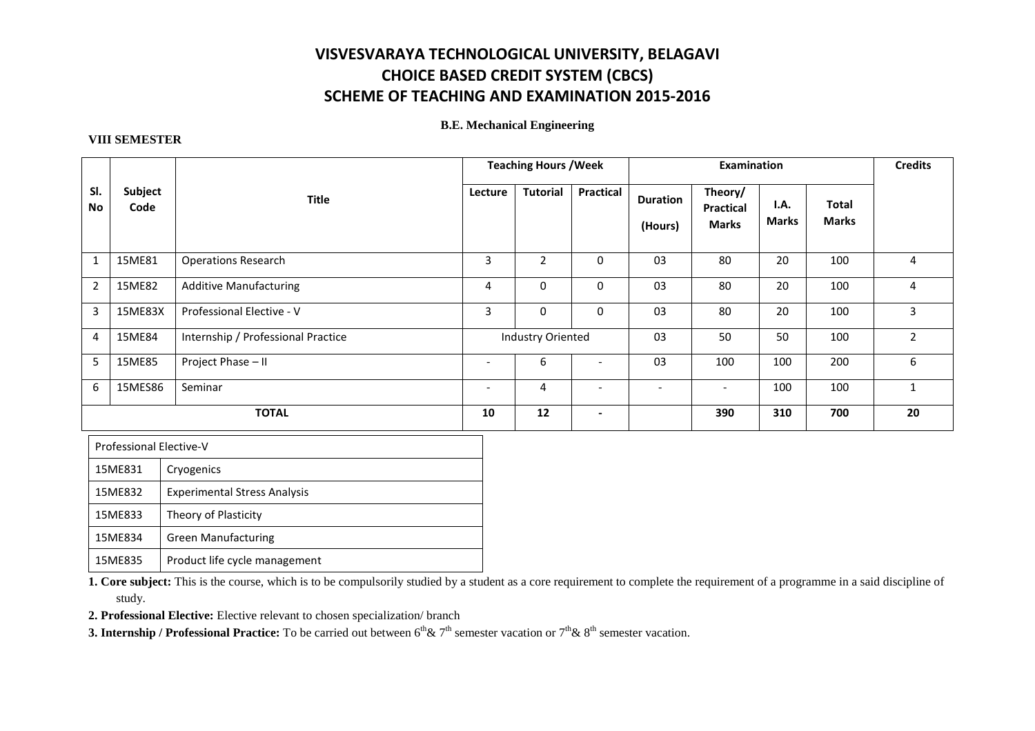## **VISVESVARAYA TECHNOLOGICAL UNIVERSITY, BELAGAVI CHOICE BASED CREDIT SYSTEM (CBCS) SCHEME OF TEACHING AND EXAMINATION 2015-2016**

#### **B.E. Mechanical Engineering**

#### **VIII SEMESTER**

|                |                 |                                    |                          | <b>Teaching Hours / Week</b> |                          |                            | <b>Examination</b>                   |                      |                              | <b>Credits</b> |
|----------------|-----------------|------------------------------------|--------------------------|------------------------------|--------------------------|----------------------------|--------------------------------------|----------------------|------------------------------|----------------|
| SI.<br>No      | Subject<br>Code | <b>Title</b>                       | Lecture                  | <b>Tutorial</b>              | Practical                | <b>Duration</b><br>(Hours) | Theory/<br>Practical<br><b>Marks</b> | I.A.<br><b>Marks</b> | <b>Total</b><br><b>Marks</b> |                |
| $\mathbf{1}$   | 15ME81          | <b>Operations Research</b>         | 3                        | $\overline{2}$               | $\Omega$                 | 03                         | 80                                   | 20                   | 100                          | 4              |
| $\overline{2}$ | 15ME82          | <b>Additive Manufacturing</b>      | 4                        | $\mathbf 0$                  | $\mathbf 0$              | 03                         | 80                                   | 20                   | 100                          | 4              |
| $\overline{3}$ | 15ME83X         | Professional Elective - V          | 3                        | $\mathbf 0$                  | $\mathbf 0$              | 03                         | 80                                   | 20                   | 100                          | 3              |
| 4              | 15ME84          | Internship / Professional Practice |                          | <b>Industry Oriented</b>     |                          | 03                         | 50                                   | 50                   | 100                          | $\overline{2}$ |
| 5              | 15ME85          | Project Phase - II                 | $\overline{\phantom{0}}$ | 6                            | $\overline{\phantom{a}}$ | 03                         | 100                                  | 100                  | 200                          | 6              |
| 6              | 15MES86         | Seminar                            | $\overline{\phantom{0}}$ | 4                            | $\overline{\phantom{a}}$ | $\overline{\phantom{a}}$   | $\overline{\phantom{a}}$             | 100                  | 100                          | 1              |
|                |                 | <b>TOTAL</b>                       | 10                       | 12                           | $\overline{\phantom{a}}$ |                            | 390                                  | 310                  | 700                          | 20             |

| Professional Elective-V |                                     |  |  |  |
|-------------------------|-------------------------------------|--|--|--|
| 15ME831<br>Cryogenics   |                                     |  |  |  |
| 15ME832                 | <b>Experimental Stress Analysis</b> |  |  |  |
| 15ME833                 | Theory of Plasticity                |  |  |  |
| 15ME834                 | <b>Green Manufacturing</b>          |  |  |  |
| 15ME835                 | Product life cycle management       |  |  |  |

**1. Core subject:** This is the course, which is to be compulsorily studied by a student as a core requirement to complete the requirement of a programme in a said discipline of study.

**2. Professional Elective:** Elective relevant to chosen specialization/ branch

**3. Internship / Professional Practice:** To be carried out between  $6^{th}$ &  $7^{th}$  semester vacation or  $7^{th}$ &  $8^{th}$  semester vacation.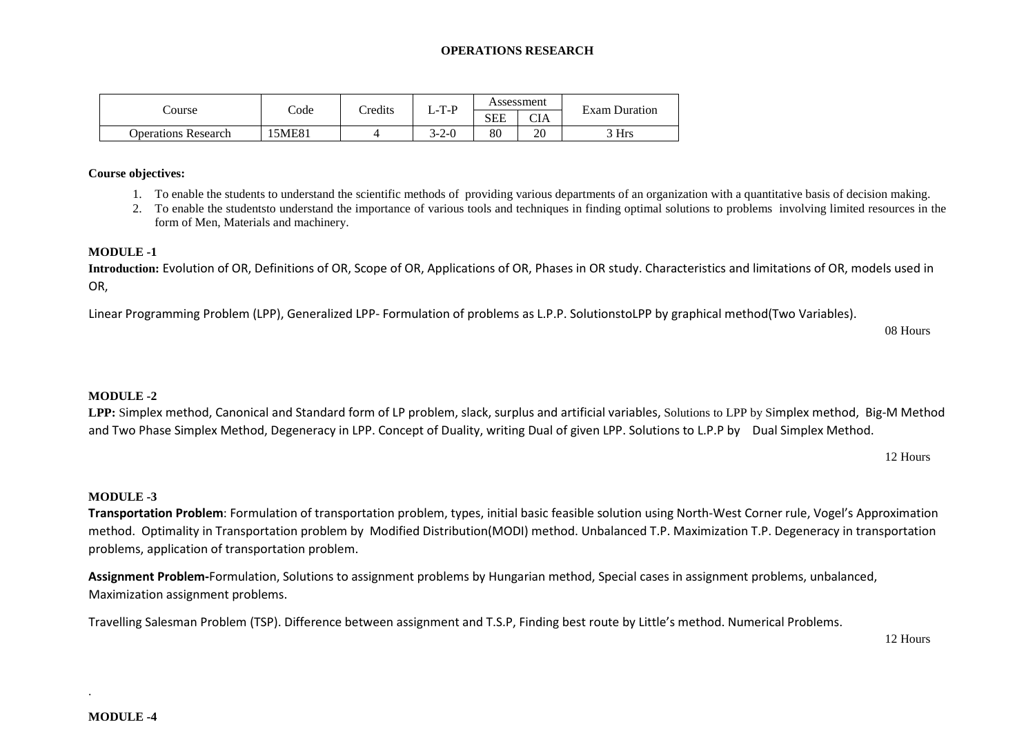#### **OPERATIONS RESEARCH**

|                            |                 | <b>Tredits</b> | -T-P  | Assessment |                         | <b>Exam Duration</b> |  |
|----------------------------|-----------------|----------------|-------|------------|-------------------------|----------------------|--|
| course                     | $\mathrm{Code}$ |                |       | <b>SEE</b> | $\sim$ T $\prime$<br>UА |                      |  |
| <b>Operations Research</b> | 5ME81           |                | 3-2-0 | 80         | 20                      | 3 Hrs                |  |

#### **Course objectives:**

- 1. To enable the students to understand the scientific methods of providing various departments of an organization with a quantitative basis of decision making.
- 2. To enable the studentsto understand the importance of various tools and techniques in finding optimal solutions to problems involving limited resources in the form of Men, Materials and machinery.

#### **MODULE -1**

**Introduction:** Evolution of OR, Definitions of OR, Scope of OR, Applications of OR, Phases in OR study. Characteristics and limitations of OR, models used in OR,

Linear Programming Problem (LPP), Generalized LPP- Formulation of problems as L.P.P. SolutionstoLPP by graphical method(Two Variables).

08 Hours

#### **MODULE -2**

**LPP:** Simplex method, Canonical and Standard form of LP problem, slack, surplus and artificial variables, Solutions to LPP by Simplex method, Big-M Method and Two Phase Simplex Method, Degeneracy in LPP. Concept of Duality, writing Dual of given LPP. Solutions to L.P.P by Dual Simplex Method.

12 Hours

#### **MODULE -3**

**Transportation Problem**: Formulation of transportation problem, types, initial basic feasible solution using North-West Corner rule, Vogel's Approximation method. Optimality in Transportation problem by Modified Distribution(MODI) method. Unbalanced T.P. Maximization T.P. Degeneracy in transportation problems, application of transportation problem.

**Assignment Problem-**Formulation, Solutions to assignment problems by Hungarian method, Special cases in assignment problems, unbalanced, Maximization assignment problems.

Travelling Salesman Problem (TSP). Difference between assignment and T.S.P, Finding best route by Little's method. Numerical Problems.

12 Hours

.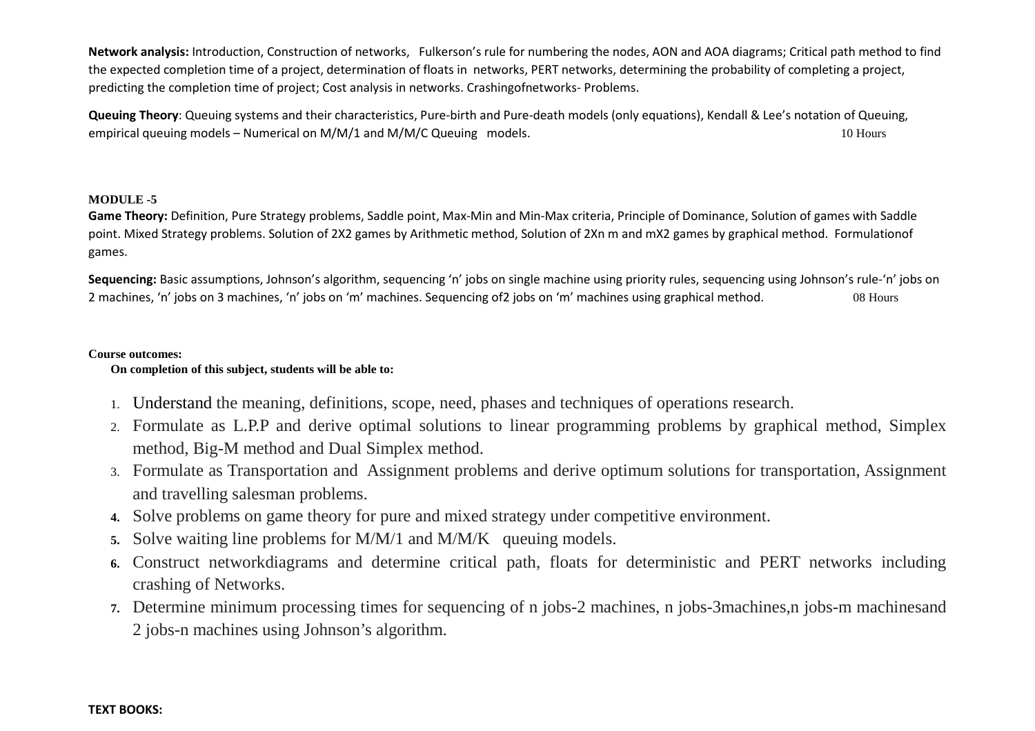**Network analysis:** Introduction, Construction of networks, Fulkerson's rule for numbering the nodes, AON and AOA diagrams; Critical path method to find the expected completion time of a project, determination of floats in networks, PERT networks, determining the probability of completing a project, predicting the completion time of project; Cost analysis in networks. Crashingofnetworks- Problems.

**Queuing Theory**: Queuing systems and their characteristics, Pure-birth and Pure-death models (only equations), Kendall & Lee's notation of Queuing, empirical queuing models – Numerical on M/M/1 and M/M/C Queuing models. 10 Hours 10 Hours 10 Hours

#### **MODULE -5**

**Game Theory:** Definition, Pure Strategy problems, Saddle point, Max-Min and Min-Max criteria, Principle of Dominance, Solution of games with Saddle point. Mixed Strategy problems. Solution of 2X2 games by Arithmetic method, Solution of 2Xn m and mX2 games by graphical method. Formulationof games.

**Sequencing:** Basic assumptions, Johnson's algorithm, sequencing 'n' jobs on single machine using priority rules, sequencing using Johnson's rule-'n' jobs on 2 machines, 'n' jobs on 3 machines, 'n' jobs on 'm' machines. Sequencing of2 jobs on 'm' machines using graphical method. 08 Hours

#### **Course outcomes:**

#### **On completion of this subject, students will be able to:**

- 1. Understand the meaning, definitions, scope, need, phases and techniques of operations research.
- 2. Formulate as L.P.P and derive optimal solutions to linear programming problems by graphical method, Simplex method, Big-M method and Dual Simplex method.
- 3. Formulate as Transportation and Assignment problems and derive optimum solutions for transportation, Assignment and travelling salesman problems.
- **4.** Solve problems on game theory for pure and mixed strategy under competitive environment.
- **5.**Solve waiting line problems for M/M/1 and M/M/K queuing models.
- **6.** Construct networkdiagrams and determine critical path, floats for deterministic and PERT networks including crashing of Networks.
- **7.** Determine minimum processing times for sequencing of n jobs-2 machines, n jobs-3machines,n jobs-m machinesand 2 jobs-n machines using Johnson's algorithm.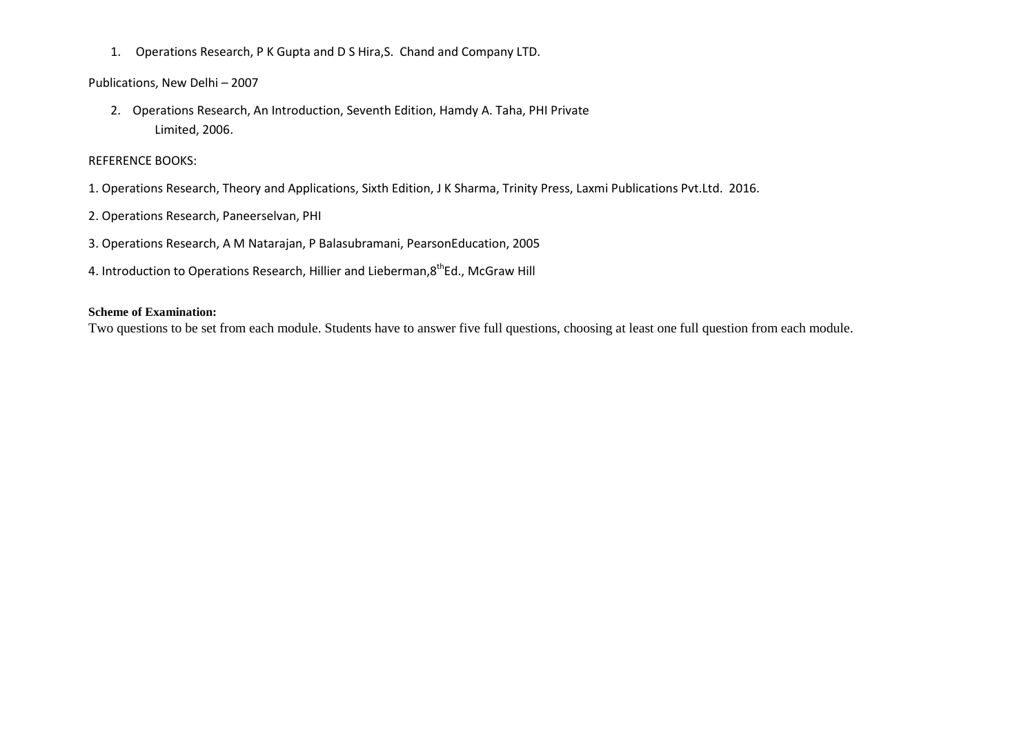1. Operations Research, P K Gupta and D S Hira,S. Chand and Company LTD.

Publications, New Delhi – 2007

2. Operations Research, An Introduction, Seventh Edition, Hamdy A. Taha, PHI Private Limited, 2006.

#### REFERENCE BOOKS:

- 1. Operations Research, Theory and Applications, Sixth Edition, J K Sharma, Trinity Press, Laxmi Publications Pvt.Ltd. 2016.
- 2. Operations Research, Paneerselvan, PHI
- 3. Operations Research, A M Natarajan, P Balasubramani, PearsonEducation, 2005
- 4. Introduction to Operations Research, Hillier and Lieberman, 8<sup>th</sup>Ed., McGraw Hill

#### **Scheme of Examination:**

Two questions to be set from each module. Students have to answer five full questions, choosing at least one full question from each module.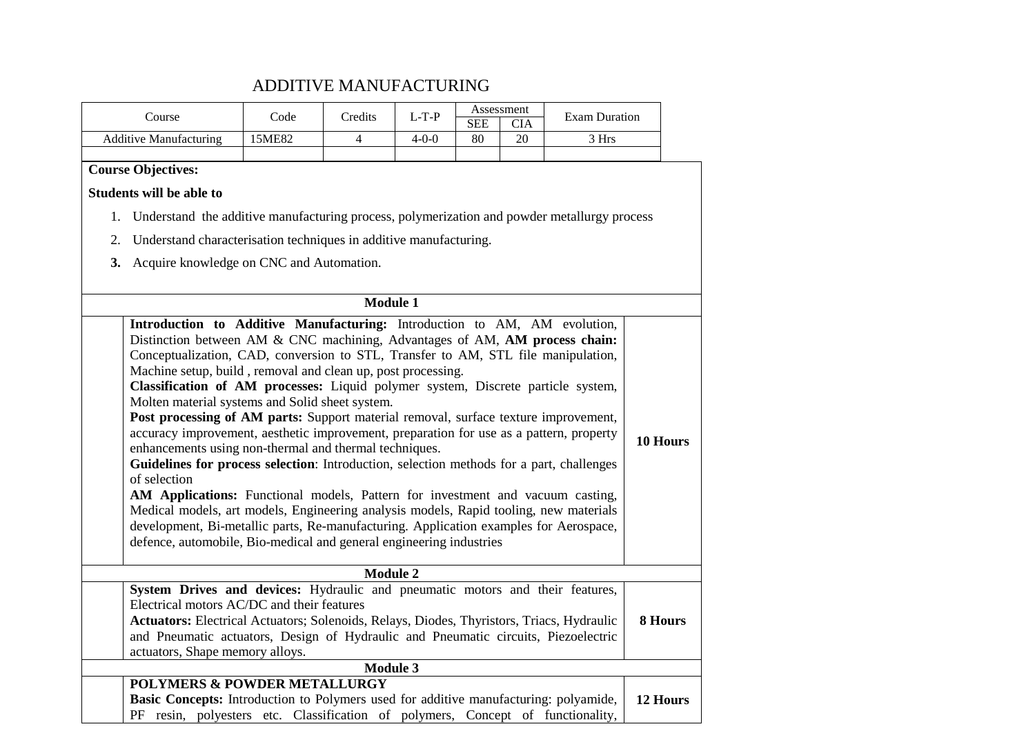## ADDITIVE MANUFACTURING

| Course                                                                                                                                                                         | Code   | Credits         | $L-T-P$     |                  | Assessment | <b>Exam Duration</b> |          |
|--------------------------------------------------------------------------------------------------------------------------------------------------------------------------------|--------|-----------------|-------------|------------------|------------|----------------------|----------|
| <b>Additive Manufacturing</b>                                                                                                                                                  | 15ME82 | $\overline{4}$  | $4 - 0 - 0$ | <b>SEE</b><br>80 | CIA<br>20  | 3 Hrs                |          |
|                                                                                                                                                                                |        |                 |             |                  |            |                      |          |
| <b>Course Objectives:</b>                                                                                                                                                      |        |                 |             |                  |            |                      |          |
| <b>Students will be able to</b>                                                                                                                                                |        |                 |             |                  |            |                      |          |
| 1. Understand the additive manufacturing process, polymerization and powder metallurgy process                                                                                 |        |                 |             |                  |            |                      |          |
| Understand characterisation techniques in additive manufacturing.<br>2.                                                                                                        |        |                 |             |                  |            |                      |          |
| 3.<br>Acquire knowledge on CNC and Automation.                                                                                                                                 |        |                 |             |                  |            |                      |          |
|                                                                                                                                                                                |        |                 |             |                  |            |                      |          |
|                                                                                                                                                                                |        | <b>Module 1</b> |             |                  |            |                      |          |
| Introduction to Additive Manufacturing: Introduction to AM, AM evolution,                                                                                                      |        |                 |             |                  |            |                      |          |
| Distinction between AM & CNC machining, Advantages of AM, AM process chain:                                                                                                    |        |                 |             |                  |            |                      |          |
| Conceptualization, CAD, conversion to STL, Transfer to AM, STL file manipulation,                                                                                              |        |                 |             |                  |            |                      |          |
| Machine setup, build, removal and clean up, post processing.                                                                                                                   |        |                 |             |                  |            |                      |          |
| Classification of AM processes: Liquid polymer system, Discrete particle system,                                                                                               |        |                 |             |                  |            |                      |          |
| Molten material systems and Solid sheet system.                                                                                                                                |        |                 |             |                  |            |                      |          |
| Post processing of AM parts: Support material removal, surface texture improvement,<br>accuracy improvement, aesthetic improvement, preparation for use as a pattern, property |        |                 |             |                  |            |                      |          |
| enhancements using non-thermal and thermal techniques.                                                                                                                         |        |                 |             |                  |            |                      | 10 Hours |
| Guidelines for process selection: Introduction, selection methods for a part, challenges                                                                                       |        |                 |             |                  |            |                      |          |
| of selection                                                                                                                                                                   |        |                 |             |                  |            |                      |          |
| AM Applications: Functional models, Pattern for investment and vacuum casting,                                                                                                 |        |                 |             |                  |            |                      |          |
| Medical models, art models, Engineering analysis models, Rapid tooling, new materials                                                                                          |        |                 |             |                  |            |                      |          |
| development, Bi-metallic parts, Re-manufacturing. Application examples for Aerospace,                                                                                          |        |                 |             |                  |            |                      |          |
| defence, automobile, Bio-medical and general engineering industries                                                                                                            |        |                 |             |                  |            |                      |          |
|                                                                                                                                                                                |        | <b>Module 2</b> |             |                  |            |                      |          |
| System Drives and devices: Hydraulic and pneumatic motors and their features,                                                                                                  |        |                 |             |                  |            |                      |          |
| Electrical motors AC/DC and their features                                                                                                                                     |        |                 |             |                  |            |                      |          |
| Actuators: Electrical Actuators; Solenoids, Relays, Diodes, Thyristors, Triacs, Hydraulic                                                                                      |        |                 |             |                  |            |                      | 8 Hours  |
| and Pneumatic actuators, Design of Hydraulic and Pneumatic circuits, Piezoelectric                                                                                             |        |                 |             |                  |            |                      |          |
| actuators, Shape memory alloys.                                                                                                                                                |        | <b>Module 3</b> |             |                  |            |                      |          |
| <b>POLYMERS &amp; POWDER METALLURGY</b>                                                                                                                                        |        |                 |             |                  |            |                      |          |
| Basic Concepts: Introduction to Polymers used for additive manufacturing: polyamide,                                                                                           |        |                 |             |                  |            |                      | 12 Hours |
| PF resin, polyesters etc. Classification of polymers, Concept of functionality,                                                                                                |        |                 |             |                  |            |                      |          |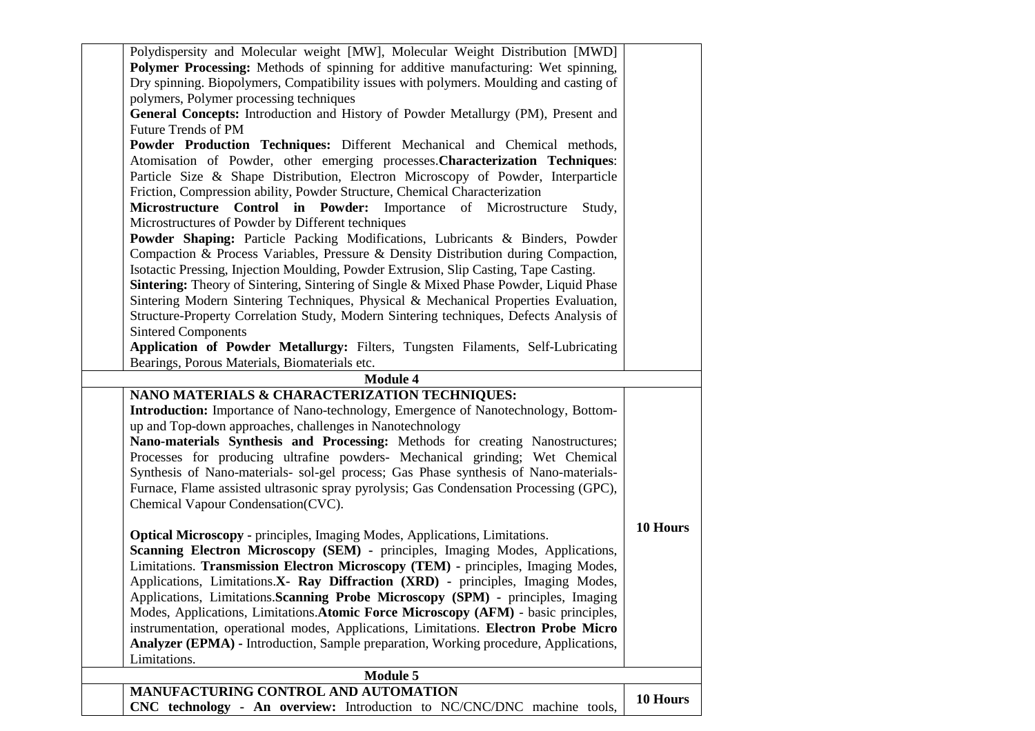| Polydispersity and Molecular weight [MW], Molecular Weight Distribution [MWD]            |          |
|------------------------------------------------------------------------------------------|----------|
| Polymer Processing: Methods of spinning for additive manufacturing: Wet spinning,        |          |
| Dry spinning. Biopolymers, Compatibility issues with polymers. Moulding and casting of   |          |
| polymers, Polymer processing techniques                                                  |          |
| General Concepts: Introduction and History of Powder Metallurgy (PM), Present and        |          |
| Future Trends of PM                                                                      |          |
| Powder Production Techniques: Different Mechanical and Chemical methods,                 |          |
| Atomisation of Powder, other emerging processes. Characterization Techniques:            |          |
| Particle Size & Shape Distribution, Electron Microscopy of Powder, Interparticle         |          |
| Friction, Compression ability, Powder Structure, Chemical Characterization               |          |
| Microstructure Control in Powder: Importance of Microstructure<br>Study,                 |          |
| Microstructures of Powder by Different techniques                                        |          |
| Powder Shaping: Particle Packing Modifications, Lubricants & Binders, Powder             |          |
| Compaction & Process Variables, Pressure & Density Distribution during Compaction,       |          |
| Isotactic Pressing, Injection Moulding, Powder Extrusion, Slip Casting, Tape Casting.    |          |
| Sintering: Theory of Sintering, Sintering of Single & Mixed Phase Powder, Liquid Phase   |          |
| Sintering Modern Sintering Techniques, Physical & Mechanical Properties Evaluation,      |          |
| Structure-Property Correlation Study, Modern Sintering techniques, Defects Analysis of   |          |
| <b>Sintered Components</b>                                                               |          |
| Application of Powder Metallurgy: Filters, Tungsten Filaments, Self-Lubricating          |          |
| Bearings, Porous Materials, Biomaterials etc.                                            |          |
| <b>Module 4</b>                                                                          |          |
| NANO MATERIALS & CHARACTERIZATION TECHNIQUES:                                            |          |
| <b>Introduction:</b> Importance of Nano-technology, Emergence of Nanotechnology, Bottom- |          |
| up and Top-down approaches, challenges in Nanotechnology                                 |          |
| Nano-materials Synthesis and Processing: Methods for creating Nanostructures;            |          |
| Processes for producing ultrafine powders- Mechanical grinding; Wet Chemical             |          |
| Synthesis of Nano-materials- sol-gel process; Gas Phase synthesis of Nano-materials-     |          |
| Furnace, Flame assisted ultrasonic spray pyrolysis; Gas Condensation Processing (GPC),   |          |
| Chemical Vapour Condensation(CVC).                                                       |          |
|                                                                                          | 10 Hours |
| <b>Optical Microscopy - principles, Imaging Modes, Applications, Limitations.</b>        |          |
| Scanning Electron Microscopy (SEM) - principles, Imaging Modes, Applications,            |          |
| Limitations. Transmission Electron Microscopy (TEM) - principles, Imaging Modes,         |          |
| Applications, Limitations.X- Ray Diffraction (XRD) - principles, Imaging Modes,          |          |
| Applications, Limitations. Scanning Probe Microscopy (SPM) - principles, Imaging         |          |
| Modes, Applications, Limitations. Atomic Force Microscopy (AFM) - basic principles,      |          |
| instrumentation, operational modes, Applications, Limitations. Electron Probe Micro      |          |
| Analyzer (EPMA) - Introduction, Sample preparation, Working procedure, Applications,     |          |
| Limitations.                                                                             |          |
| <b>Module 5</b>                                                                          |          |
| MANUFACTURING CONTROL AND AUTOMATION                                                     | 10 Hours |
| CNC technology - An overview: Introduction to NC/CNC/DNC machine tools,                  |          |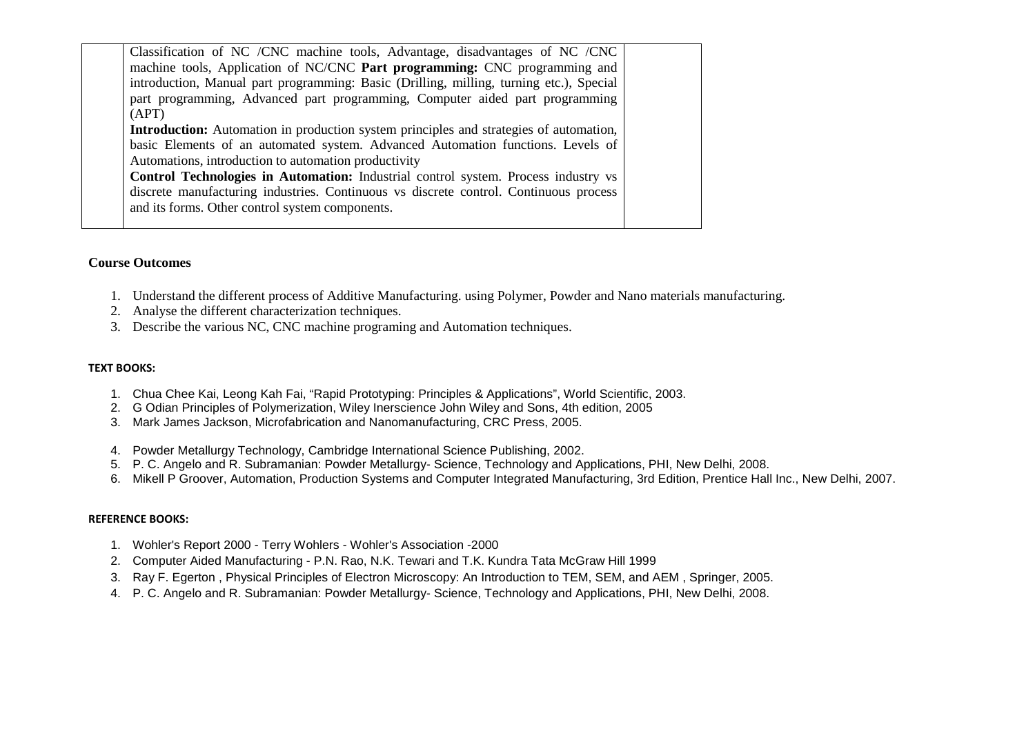| Classification of NC / CNC machine tools, Advantage, disadvantages of NC / CNC                |
|-----------------------------------------------------------------------------------------------|
| machine tools, Application of NC/CNC Part programming: CNC programming and                    |
| introduction, Manual part programming: Basic (Drilling, milling, turning etc.), Special       |
| part programming, Advanced part programming, Computer aided part programming                  |
| (APT)                                                                                         |
| <b>Introduction:</b> Automation in production system principles and strategies of automation, |
| basic Elements of an automated system. Advanced Automation functions. Levels of               |
| Automations, introduction to automation productivity                                          |
| Control Technologies in Automation: Industrial control system. Process industry vs            |
| discrete manufacturing industries. Continuous vs discrete control. Continuous process         |
| and its forms. Other control system components.                                               |
|                                                                                               |

#### **Course Outcomes**

- 1. Understand the different process of Additive Manufacturing. using Polymer, Powder and Nano materials manufacturing.
- 2. Analyse the different characterization techniques.
- 3. Describe the various NC, CNC machine programing and Automation techniques.

#### **TEXT BOOKS:**

- 1. Chua Chee Kai, Leong Kah Fai, "Rapid Prototyping: Principles & Applications", World Scientific, 2003.
- 2. G Odian Principles of Polymerization, Wiley Inerscience John Wiley and Sons, 4th edition, 2005
- 3. Mark James Jackson, Microfabrication and Nanomanufacturing, CRC Press, 2005.
- 4. Powder Metallurgy Technology, Cambridge International Science Publishing, 2002.
- 5. P. C. Angelo and R. Subramanian: Powder Metallurgy- Science, Technology and Applications, PHI, New Delhi, 2008.
- 6. Mikell P Groover, Automation, Production Systems and Computer Integrated Manufacturing, 3rd Edition, Prentice Hall Inc., New Delhi, 2007.

#### **REFERENCE BOOKS:**

- 1. Wohler's Report 2000 Terry Wohlers Wohler's Association -2000
- 2. Computer Aided Manufacturing P.N. Rao, N.K. Tewari and T.K. Kundra Tata McGraw Hill 1999
- 3. Ray F. Egerton , Physical Principles of Electron Microscopy: An Introduction to TEM, SEM, and AEM , Springer, 2005.
- 4. P. C. Angelo and R. Subramanian: Powder Metallurgy- Science, Technology and Applications, PHI, New Delhi, 2008.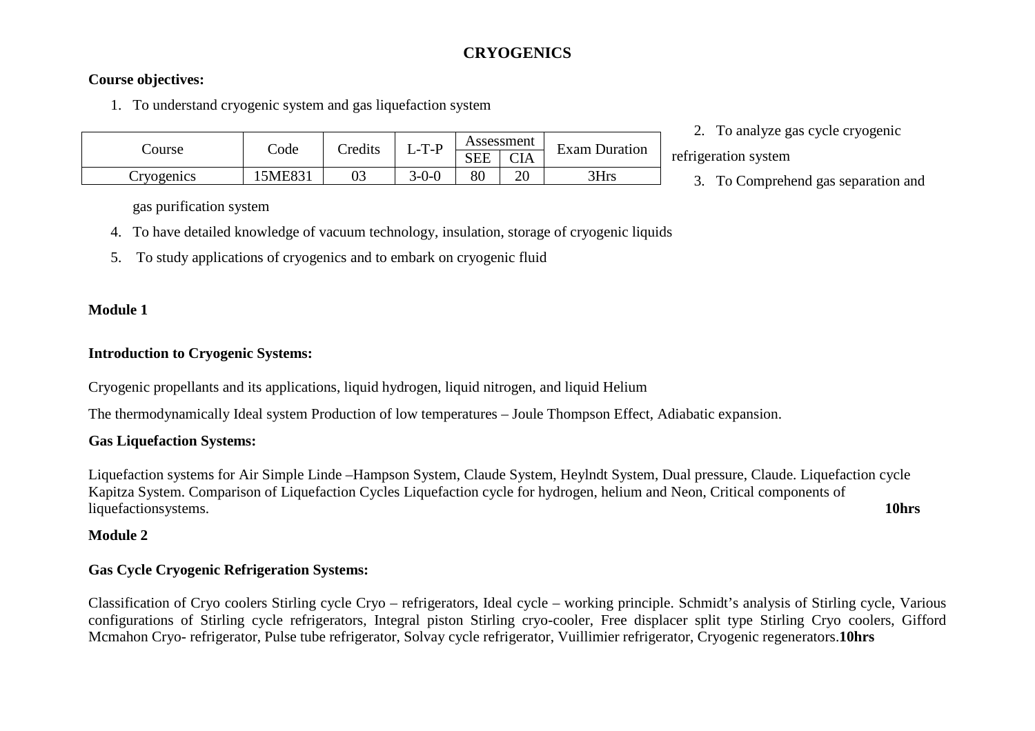## **CRYOGENICS**

## **Course objectives:**

1. To understand cryogenic system and gas liquefaction system

|            |        | <b>redits</b> | $-T-P$  | Assessment |            | <b>Exam Duration</b> |     |
|------------|--------|---------------|---------|------------|------------|----------------------|-----|
| ourse:     | .bde   |               |         | <b>SEE</b> | <b>CIA</b> |                      | rei |
| Cryogenics | 5ME831 | 03            | $3-0-0$ | 80         | ററ<br>∠∪   | 3Hrs                 |     |

2. To analyze gas cycle cryogenic

frigeration system

3. To Comprehend gas separation and

gas purification system

- 4. To have detailed knowledge of vacuum technology, insulation, storage of cryogenic liquids
- 5. To study applications of cryogenics and to embark on cryogenic fluid

## **Module 1**

## **Introduction to Cryogenic Systems:**

Cryogenic propellants and its applications, liquid hydrogen, liquid nitrogen, and liquid Helium

The thermodynamically Ideal system Production of low temperatures – Joule Thompson Effect, Adiabatic expansion.

## **Gas Liquefaction Systems:**

Liquefaction systems for Air Simple Linde –Hampson System, Claude System, Heylndt System, Dual pressure, Claude. Liquefaction cycle Kapitza System. Comparison of Liquefaction Cycles Liquefaction cycle for hydrogen, helium and Neon, Critical components of liquefactionsystems. **10hrs**

## **Module 2**

## **Gas Cycle Cryogenic Refrigeration Systems:**

Classification of Cryo coolers Stirling cycle Cryo – refrigerators, Ideal cycle – working principle. Schmidt's analysis of Stirling cycle, Various configurations of Stirling cycle refrigerators, Integral piston Stirling cryo-cooler, Free displacer split type Stirling Cryo coolers, Gifford Mcmahon Cryo- refrigerator, Pulse tube refrigerator, Solvay cycle refrigerator, Vuillimier refrigerator, Cryogenic regenerators.**10hrs**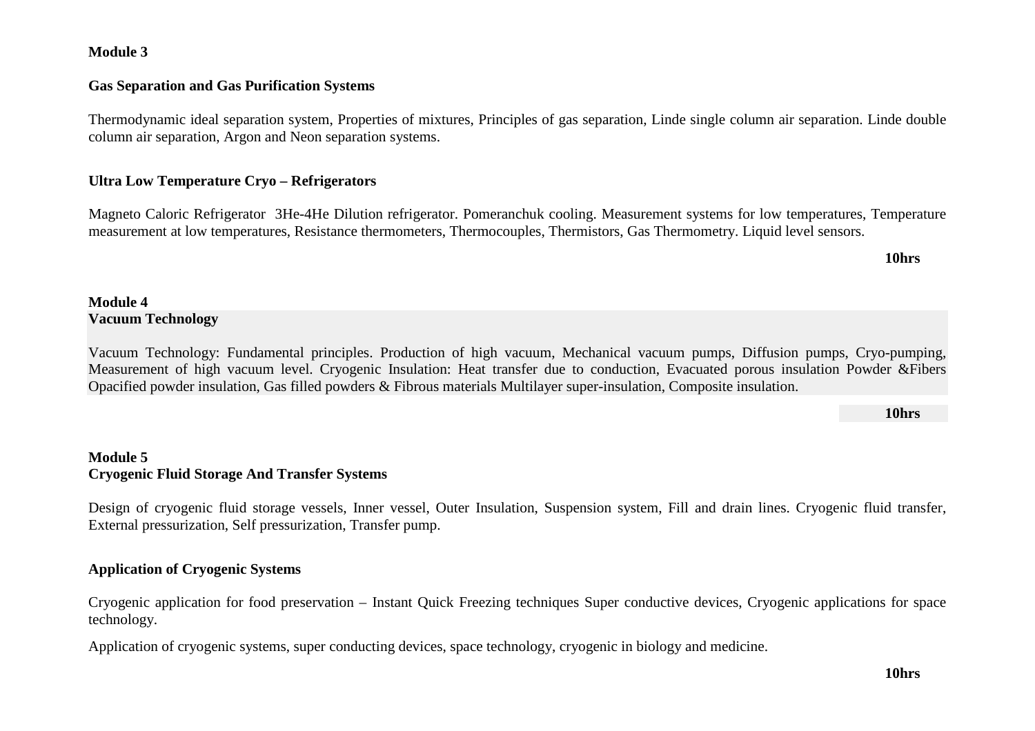### **Module 3**

### **Gas Separation and Gas Purification Systems**

Thermodynamic ideal separation system, Properties of mixtures, Principles of gas separation, Linde single column air separation. Linde double column air separation, Argon and Neon separation systems.

### **Ultra Low Temperature Cryo – Refrigerators**

Magneto Caloric Refrigerator 3He-4He Dilution refrigerator. Pomeranchuk cooling. Measurement systems for low temperatures, Temperature measurement at low temperatures, Resistance thermometers, Thermocouples, Thermistors, Gas Thermometry. Liquid level sensors.

**10hrs** 

## **Module 4 Vacuum Technology**

Vacuum Technology: Fundamental principles. Production of high vacuum, Mechanical vacuum pumps, Diffusion pumps, Cryo-pumping, Measurement of high vacuum level. Cryogenic Insulation: Heat transfer due to conduction, Evacuated porous insulation Powder &Fibers Opacified powder insulation, Gas filled powders & Fibrous materials Multilayer super-insulation, Composite insulation.

**10hrs** 

## **Module 5 Cryogenic Fluid Storage And Transfer Systems**

Design of cryogenic fluid storage vessels, Inner vessel, Outer Insulation, Suspension system, Fill and drain lines. Cryogenic fluid transfer, External pressurization, Self pressurization, Transfer pump.

### **Application of Cryogenic Systems**

Cryogenic application for food preservation – Instant Quick Freezing techniques Super conductive devices, Cryogenic applications for space technology.

Application of cryogenic systems, super conducting devices, space technology, cryogenic in biology and medicine.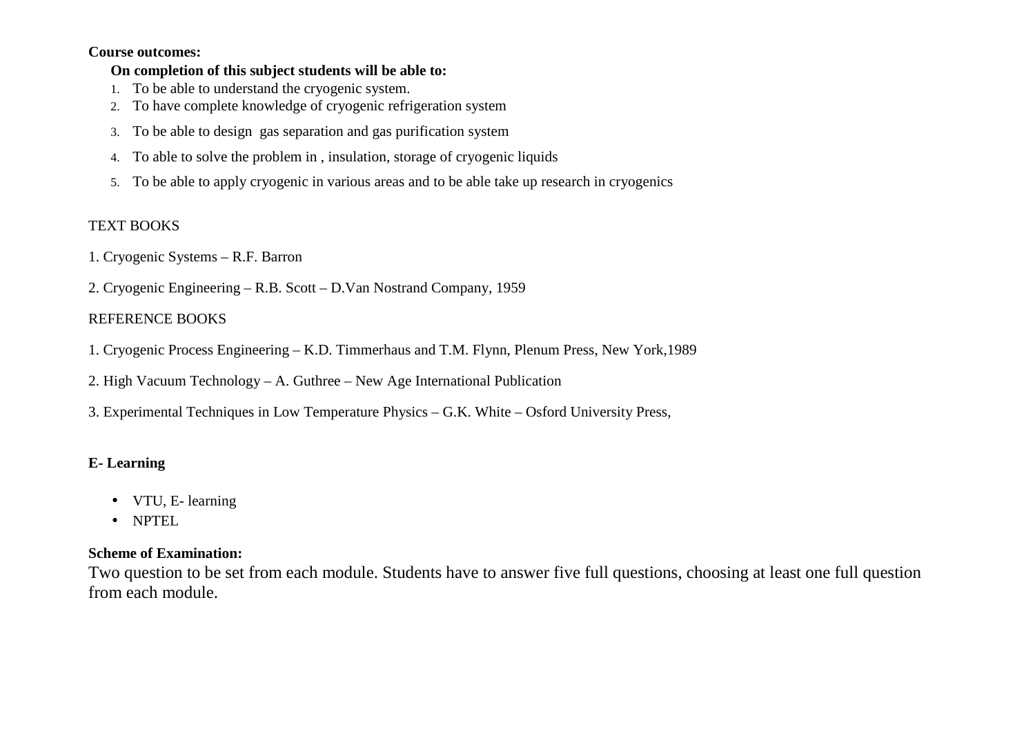#### **Course outcomes:**

### **On completion of this subject students will be able to:**

- 1. To be able to understand the cryogenic system.
- 2. To have complete knowledge of cryogenic refrigeration system
- 3. To be able to design gas separation and gas purification system
- 4. To able to solve the problem in , insulation, storage of cryogenic liquids
- 5. To be able to apply cryogenic in various areas and to be able take up research in cryogenics

## TEXT BOOKS

1. Cryogenic Systems – R.F. Barron

2. Cryogenic Engineering – R.B. Scott – D.Van Nostrand Company, 1959

## REFERENCE BOOKS

1. Cryogenic Process Engineering – K.D. Timmerhaus and T.M. Flynn, Plenum Press, New York,1989

2. High Vacuum Technology – A. Guthree – New Age International Publication

3. Experimental Techniques in Low Temperature Physics – G.K. White – Osford University Press,

## **E- Learning**

- VTU, E- learning
- NPTEL

## **Scheme of Examination:**

Two question to be set from each module. Students have to answer five full questions, choosing at least one full question from each module.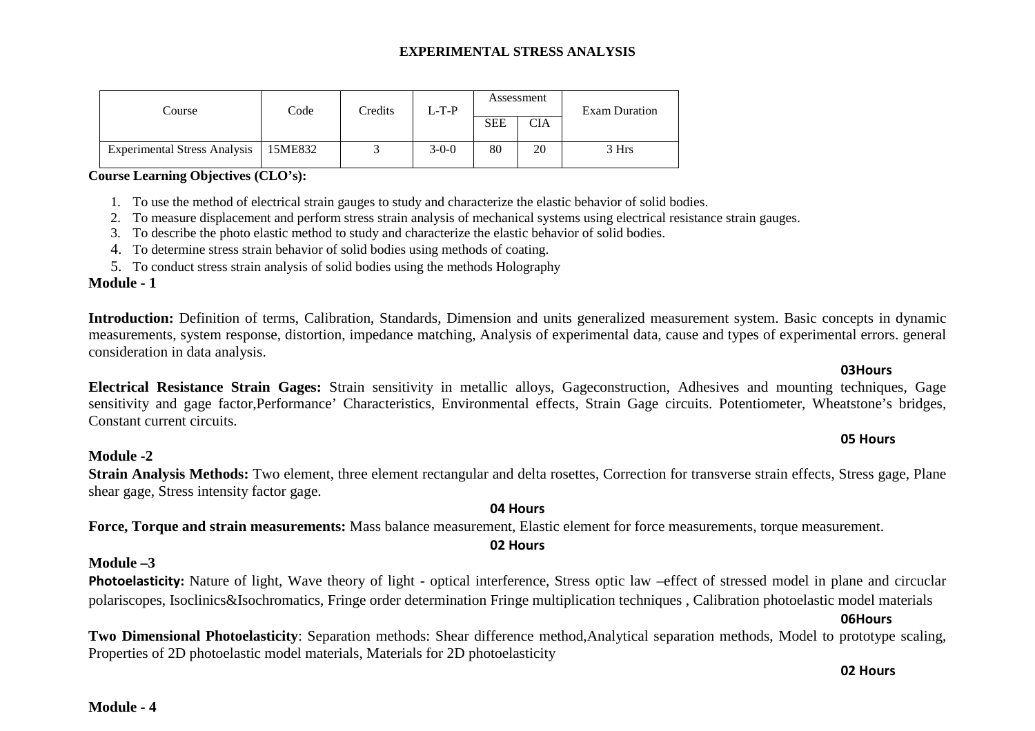#### **EXPERIMENTAL STRESS ANALYSIS**

| Course                              | Code    | $L-T-P$<br>Credits |         | Assessment |            | <b>Exam Duration</b> |  |
|-------------------------------------|---------|--------------------|---------|------------|------------|----------------------|--|
|                                     |         |                    |         | <b>SEE</b> | <b>CIA</b> |                      |  |
| <b>Experimental Stress Analysis</b> | 15ME832 |                    | $3-0-0$ | 80         | 20         | 3 Hrs                |  |

#### **Course Learning Objectives (CLO's):**

- 1. To use the method of electrical strain gauges to study and characterize the elastic behavior of solid bodies.
- 2. To measure displacement and perform stress strain analysis of mechanical systems using electrical resistance strain gauges.
- 3. To describe the photo elastic method to study and characterize the elastic behavior of solid bodies.
- 4. To determine stress strain behavior of solid bodies using methods of coating.
- 5. To conduct stress strain analysis of solid bodies using the methods Holography

#### **Module - 1**

Introduction: Definition of terms, Calibration, Standards, Dimension and units generalized measurement system. Basic concepts in dynamic measurements, system response, distortion, impedance matching, Analysis of experimental data, cause and types of experimental errors. general consideration in data analysis.

**Electrical Resistance Strain Gages:** Strain sensitivity in metallic alloys, Gageconstruction, Adhesives and mounting techniques, Gage sensitivity and gage factor,Performance' Characteristics, Environmental effects, Strain Gage circuits. Potentiometer, Wheatstone's bridges, Constant current circuits.

## **Module -2 Strain Analysis Methods:** Two element, three element rectangular and delta rosettes, Correction for transverse strain effects, Stress gage, Plane

shear gage, Stress intensity factor gage.

### **04 Hours**

**Force, Torque and strain measurements:** Mass balance measurement, Elastic element for force measurements, torque measurement.

#### **02 Hours**

#### **Module –3**

**Photoelasticity:** Nature of light, Wave theory of light - optical interference, Stress optic law –effect of stressed model in plane and circuclar polariscopes, Isoclinics&Isochromatics, Fringe order determination Fringe multiplication techniques , Calibration photoelastic model materials

#### **06Hours**

**Two Dimensional Photoelasticity**: Separation methods: Shear difference method,Analytical separation methods, Model to prototype scaling, Properties of 2D photoelastic model materials, Materials for 2D photoelasticity

### **02 Hours**

#### **Module - 4**

## **03Hours**

**05 Hours**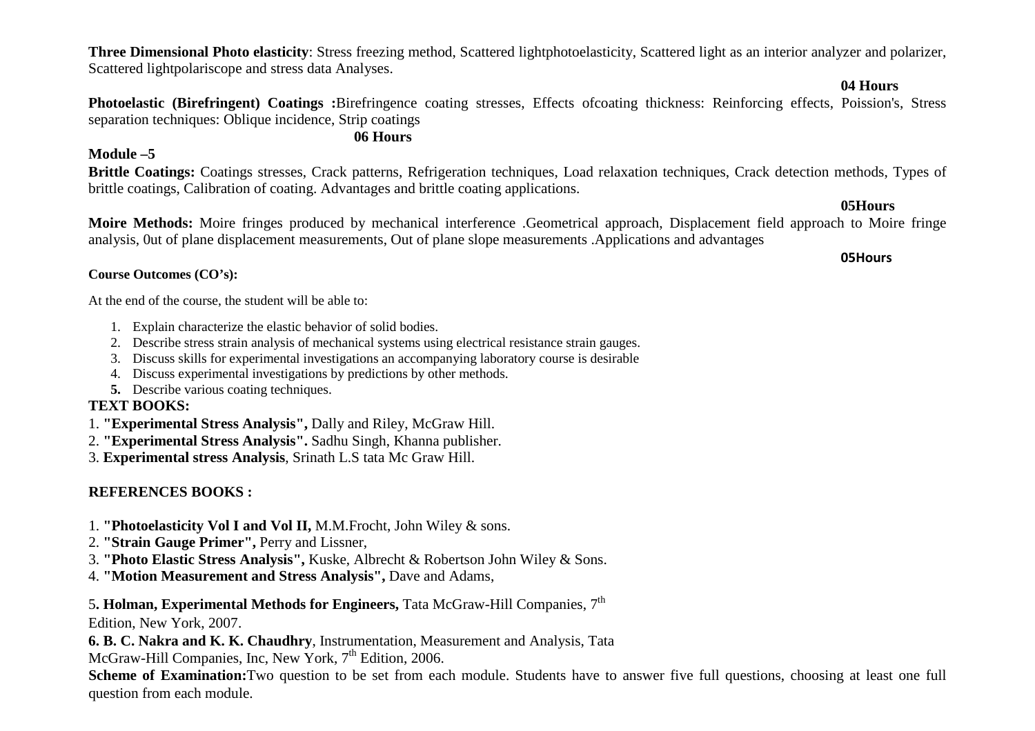**Three Dimensional Photo elasticity**: Stress freezing method, Scattered lightphotoelasticity, Scattered light as an interior analyzer and polarizer, Scattered lightpolariscope and stress data Analyses.

 **04 Hours** 

 **Photoelastic (Birefringent) Coatings :**Birefringence coating stresses, Effects ofcoating thickness: Reinforcing effects, Poission's, Stress separation techniques: Oblique incidence, Strip coatings

## **06 Hours**

## **Module –5**

**Brittle Coatings:** Coatings stresses, Crack patterns, Refrigeration techniques, Load relaxation techniques, Crack detection methods, Types of brittle coatings, Calibration of coating. Advantages and brittle coating applications.

**05Hours** 

 **Moire Methods:** Moire fringes produced by mechanical interference .Geometrical approach, Displacement field approach to Moire fringe analysis, 0ut of plane displacement measurements, Out of plane slope measurements .Applications and advantages

#### **Course Outcomes (CO's):**

At the end of the course, the student will be able to:

- 1. Explain characterize the elastic behavior of solid bodies.
- 2. Describe stress strain analysis of mechanical systems using electrical resistance strain gauges.
- 3. Discuss skills for experimental investigations an accompanying laboratory course is desirable
- 4. Discuss experimental investigations by predictions by other methods.
- **5.** Describe various coating techniques.

## **TEXT BOOKS:**

- 1. **"Experimental Stress Analysis",** Dally and Riley, McGraw Hill.
- 2. **"Experimental Stress Analysis".** Sadhu Singh, Khanna publisher.

3. **Experimental stress Analysis**, Srinath L.S tata Mc Graw Hill.

## **REFERENCES BOOKS :**

- 1. **"Photoelasticity Vol I and Vol II,** M.M.Frocht, John Wiley & sons.
- 2. **"Strain Gauge Primer",** Perry and Lissner,
- 3. **"Photo Elastic Stress Analysis",** Kuske, Albrecht & Robertson John Wiley & Sons.
- 4. **"Motion Measurement and Stress Analysis",** Dave and Adams,

<sup>5</sup>**. Holman, Experimental Methods for Engineers,** Tata McGraw-Hill Companies, 7th

Edition, New York, 2007.

**6. B. C. Nakra and K. K. Chaudhry**, Instrumentation, Measurement and Analysis, Tata McGraw-Hill Companies, Inc, New York, 7<sup>th</sup> Edition, 2006.

 **Scheme of Examination:**Two question to be set from each module. Students have to answer five full questions, choosing at least one full question from each module.

## **05Hours**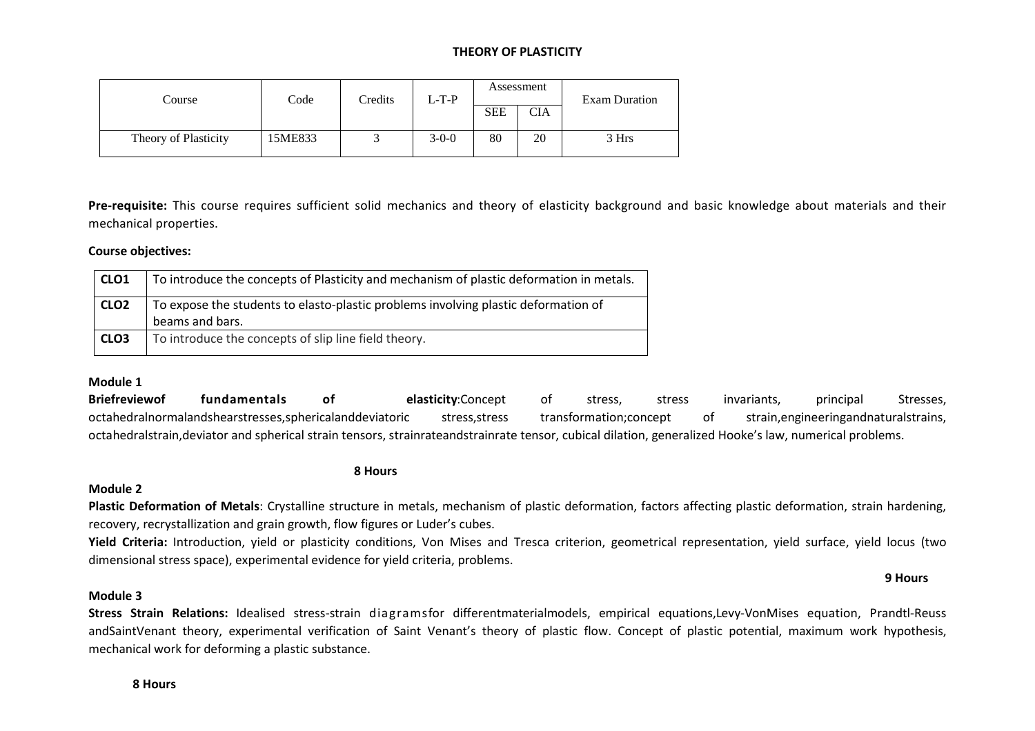#### **THEORY OF PLASTICITY**

| Course               | Code    | Credits | $L-T-P$ | Assessment |            | <b>Exam Duration</b> |  |
|----------------------|---------|---------|---------|------------|------------|----------------------|--|
|                      |         |         |         | <b>SEE</b> | <b>CIA</b> |                      |  |
| Theory of Plasticity | 15ME833 |         | $3-0-0$ | 80         | 20         | 3 Hrs                |  |

**Pre-requisite:** This course requires sufficient solid mechanics and theory of elasticity background and basic knowledge about materials and their mechanical properties.

#### **Course objectives:**

| CLO1             | To introduce the concepts of Plasticity and mechanism of plastic deformation in metals.               |
|------------------|-------------------------------------------------------------------------------------------------------|
| CLO <sub>2</sub> | To expose the students to elasto-plastic problems involving plastic deformation of<br>beams and bars. |
| CLO <sub>3</sub> | To introduce the concepts of slip line field theory.                                                  |

#### **Module 1**

**Briefreviewof fundamentals of elasticity**:Concept of stress, stress invariants, principal Stresses, octahedralnormalandshearstresses,sphericalanddeviatoric stress,stress transformation;concept of strain,engineeringandnaturalstrains, octahedralstrain,deviator and spherical strain tensors, strainrateandstrainrate tensor, cubical dilation, generalized Hooke's law, numerical problems.

#### **8 Hours**

#### **Module 2**

**Plastic Deformation of Metals**: Crystalline structure in metals, mechanism of plastic deformation, factors affecting plastic deformation, strain hardening, recovery, recrystallization and grain growth, flow figures or Luder's cubes.

**Yield Criteria:** Introduction, yield or plasticity conditions, Von Mises and Tresca criterion, geometrical representation, yield surface, yield locus (two dimensional stress space), experimental evidence for yield criteria, problems.

**9 Hours** 

#### **Module 3**

**Stress Strain Relations:** Idealised stress-strain diagramsfor differentmaterialmodels, empirical equations,Levy-VonMises equation, Prandtl-Reuss andSaintVenant theory, experimental verification of Saint Venant's theory of plastic flow. Concept of plastic potential, maximum work hypothesis, mechanical work for deforming a plastic substance.

**8 Hours**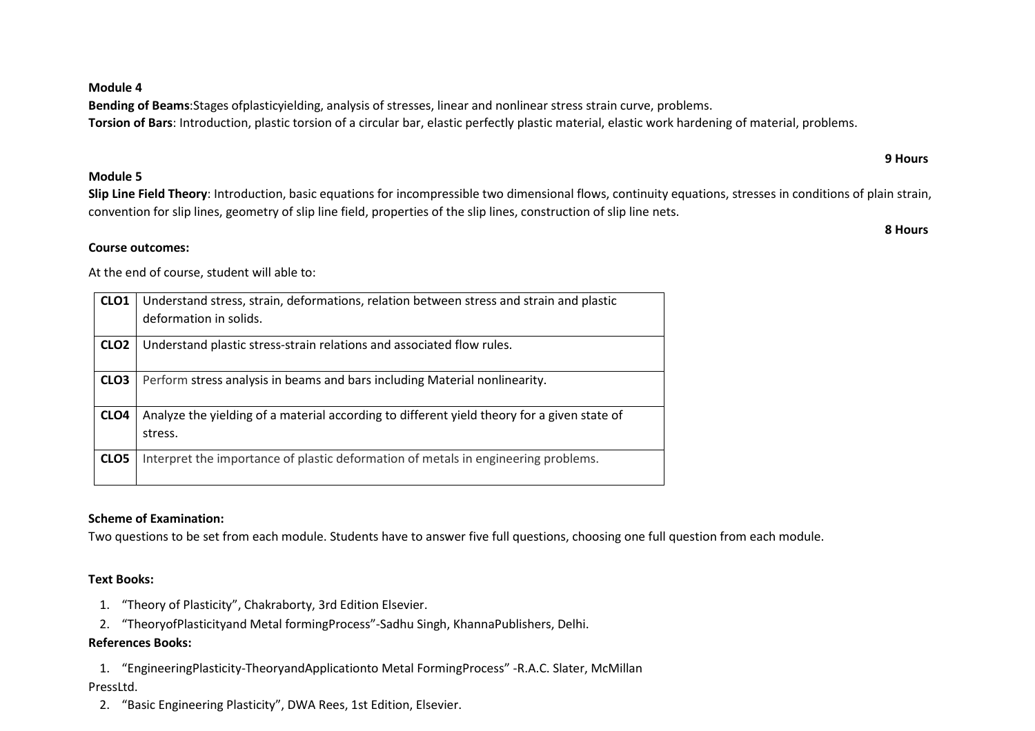**Module 4** 

**Bending of Beams**:Stages ofplasticyielding, analysis of stresses, linear and nonlinear stress strain curve, problems. **Torsion of Bars**: Introduction, plastic torsion of a circular bar, elastic perfectly plastic material, elastic work hardening of material, problems.

#### **Module 5**

**Course outcomes:**

**Slip Line Field Theory**: Introduction, basic equations for incompressible two dimensional flows, continuity equations, stresses in conditions of plain strain, convention for slip lines, geometry of slip line field, properties of the slip lines, construction of slip line nets.

 **9 Hours** 

**8 Hours**

At the end of course, student will able to:

| CLO <sub>1</sub> | Understand stress, strain, deformations, relation between stress and strain and plastic<br>deformation in solids. |
|------------------|-------------------------------------------------------------------------------------------------------------------|
|                  |                                                                                                                   |
| CLO <sub>2</sub> | Understand plastic stress-strain relations and associated flow rules.                                             |
| CLO <sub>3</sub> | Perform stress analysis in beams and bars including Material nonlinearity.                                        |
| CLO <sub>4</sub> | Analyze the yielding of a material according to different yield theory for a given state of                       |
|                  | stress.                                                                                                           |
| CLO <sub>5</sub> | Interpret the importance of plastic deformation of metals in engineering problems.                                |
|                  |                                                                                                                   |

### **Scheme of Examination:**

Two questions to be set from each module. Students have to answer five full questions, choosing one full question from each module.

### **Text Books:**

- 1. "Theory of Plasticity", Chakraborty, 3rd Edition Elsevier.
- 2. "TheoryofPlasticityand Metal formingProcess"-Sadhu Singh, KhannaPublishers, Delhi.

#### **References Books:**

1. "EngineeringPlasticity-TheoryandApplicationto Metal FormingProcess" -R.A.C. Slater, McMillan

### PressLtd.

2. "Basic Engineering Plasticity", DWA Rees, 1st Edition, Elsevier.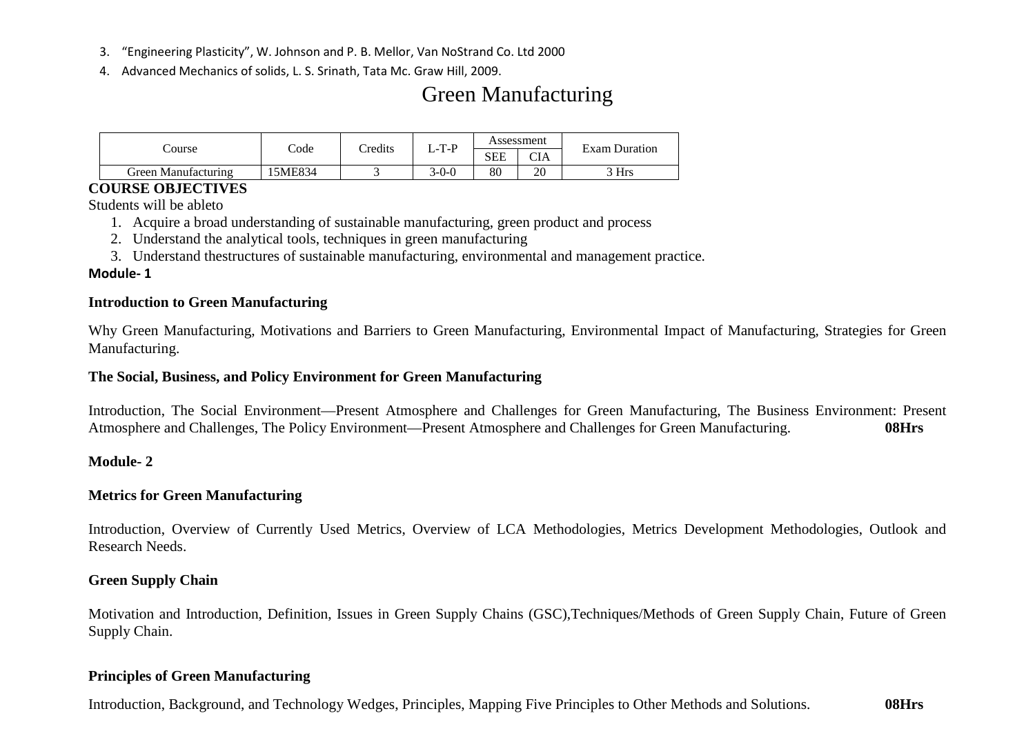- 3. "Engineering Plasticity", W. Johnson and P. B. Mellor, Van NoStrand Co. Ltd 2000
- 4. Advanced Mechanics of solids, L. S. Srinath, Tata Mc. Graw Hill, 2009.

# Green Manufacturing

|                         |        | Credits<br>Code |         | Assessment |            | <b>Exam Duration</b> |  |
|-------------------------|--------|-----------------|---------|------------|------------|----------------------|--|
| course                  |        |                 | $L-T-P$ | <b>SEE</b> | <b>CIA</b> |                      |  |
| Green<br>∟Manufacturing | 5ME834 | ້               | 3-0-0   | 80         | 20         | 3 Hrs                |  |

## **COURSE OBJECTIVES**

Students will be ableto

- 1. Acquire a broad understanding of sustainable manufacturing, green product and process
- 2. Understand the analytical tools, techniques in green manufacturing
- 3. Understand thestructures of sustainable manufacturing, environmental and management practice.

## **Module- 1**

## **Introduction to Green Manufacturing**

Why Green Manufacturing, Motivations and Barriers to Green Manufacturing, Environmental Impact of Manufacturing, Strategies for Green Manufacturing.

## **The Social, Business, and Policy Environment for Green Manufacturing**

Introduction, The Social Environment—Present Atmosphere and Challenges for Green Manufacturing, The Business Environment: Present Atmosphere and Challenges, The Policy Environment—Present Atmosphere and Challenges for Green Manufacturing. **08Hrs**

## **Module- 2**

## **Metrics for Green Manufacturing**

Introduction, Overview of Currently Used Metrics, Overview of LCA Methodologies, Metrics Development Methodologies, Outlook and Research Needs.

## **Green Supply Chain**

Motivation and Introduction, Definition, Issues in Green Supply Chains (GSC),Techniques/Methods of Green Supply Chain, Future of Green Supply Chain.

## **Principles of Green Manufacturing**

Introduction, Background, and Technology Wedges, Principles, Mapping Five Principles to Other Methods and Solutions. **08Hrs**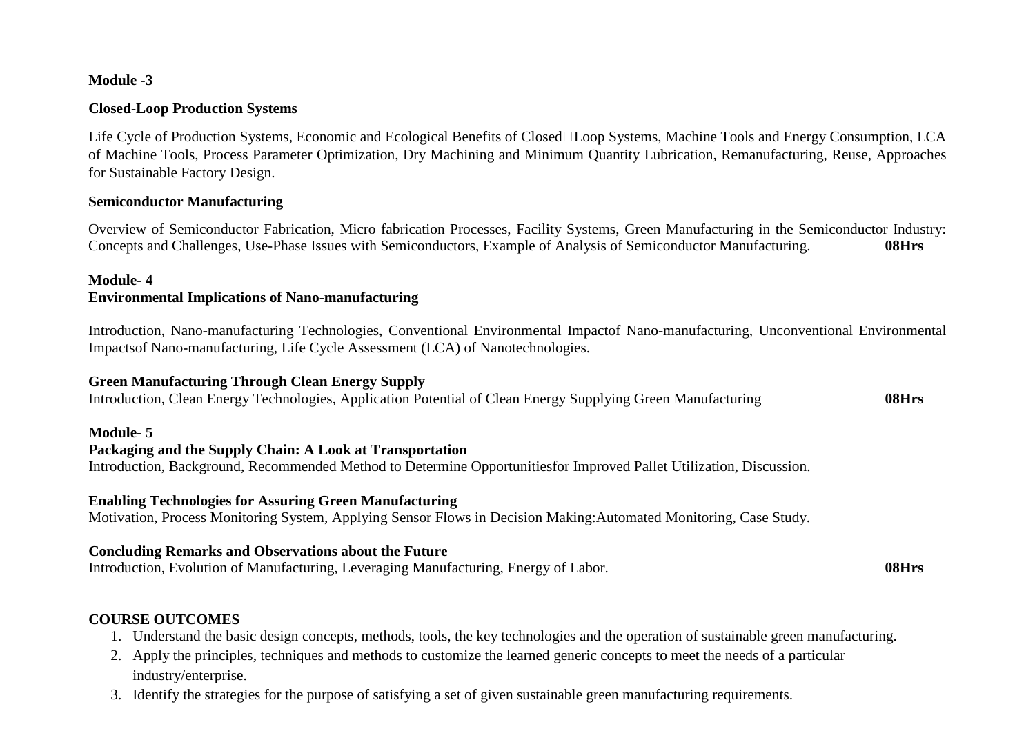## **Module -3**

### **Closed-Loop Production Systems**

Life Cycle of Production Systems, Economic and Ecological Benefits of Closed Loop Systems, Machine Tools and Energy Consumption, LCA of Machine Tools, Process Parameter Optimization, Dry Machining and Minimum Quantity Lubrication, Remanufacturing, Reuse, Approaches for Sustainable Factory Design.

### **Semiconductor Manufacturing**

Overview of Semiconductor Fabrication, Micro fabrication Processes, Facility Systems, Green Manufacturing in the Semiconductor Industry: Concepts and Challenges, Use-Phase Issues with Semiconductors, Example of Analysis of Semiconductor Manufacturing. **08Hrs**

### **Module- 4 Environmental Implications of Nano-manufacturing**

Introduction, Nano-manufacturing Technologies, Conventional Environmental Impactof Nano-manufacturing, Unconventional Environmental Impactsof Nano-manufacturing, Life Cycle Assessment (LCA) of Nanotechnologies.

## **Green Manufacturing Through Clean Energy Supply**

Introduction, Clean Energy Technologies, Application Potential of Clean Energy Supplying Green Manufacturing **08Hrs**

## **Module- 5**

## **Packaging and the Supply Chain: A Look at Transportation**

Introduction, Background, Recommended Method to Determine Opportunitiesfor Improved Pallet Utilization, Discussion.

## **Enabling Technologies for Assuring Green Manufacturing**

Motivation, Process Monitoring System, Applying Sensor Flows in Decision Making:Automated Monitoring, Case Study.

## **Concluding Remarks and Observations about the Future**

Introduction, Evolution of Manufacturing, Leveraging Manufacturing, Energy of Labor. **08Hrs**

## **COURSE OUTCOMES**

- 1. Understand the basic design concepts, methods, tools, the key technologies and the operation of sustainable green manufacturing.
- 2. Apply the principles, techniques and methods to customize the learned generic concepts to meet the needs of a particular industry/enterprise.
- 3. Identify the strategies for the purpose of satisfying a set of given sustainable green manufacturing requirements.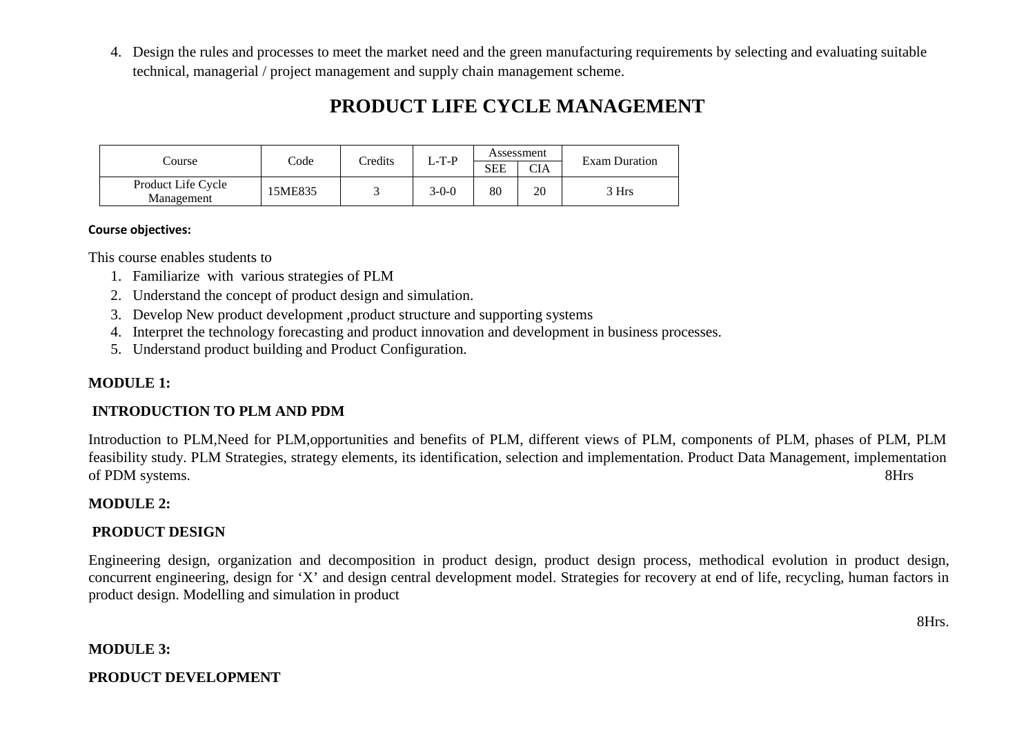4. Design the rules and processes to meet the market need and the green manufacturing requirements by selecting and evaluating suitable technical, managerial / project management and supply chain management scheme.

## **PRODUCT LIFE CYCLE MANAGEMENT**

|                                  | Code    | Credits | Assessment<br>$L-T-P$ |     | <b>Exam Duration</b> |       |
|----------------------------------|---------|---------|-----------------------|-----|----------------------|-------|
| Course                           |         |         |                       | SEE | CIA                  |       |
| Product Life Cycle<br>Management | 15ME835 |         | $3-0-0$               | 80  | 20                   | 3 Hrs |

#### **Course objectives:**

This course enables students to

- 1. Familiarize with various strategies of PLM
- 2. Understand the concept of product design and simulation.
- 3. Develop New product development ,product structure and supporting systems
- 4. Interpret the technology forecasting and product innovation and development in business processes.
- 5. Understand product building and Product Configuration.

## **MODULE 1:**

## **INTRODUCTION TO PLM AND PDM**

Introduction to PLM,Need for PLM,opportunities and benefits of PLM, different views of PLM, components of PLM, phases of PLM, PLM feasibility study. PLM Strategies, strategy elements, its identification, selection and implementation. Product Data Management, implementation of PDM systems. 8Hrs

## **MODULE 2:**

## **PRODUCT DESIGN**

Engineering design, organization and decomposition in product design, product design process, methodical evolution in product design, concurrent engineering, design for 'X' and design central development model. Strategies for recovery at end of life, recycling, human factors in product design. Modelling and simulation in product

8Hrs.

### **MODULE 3:**

## **PRODUCT DEVELOPMENT**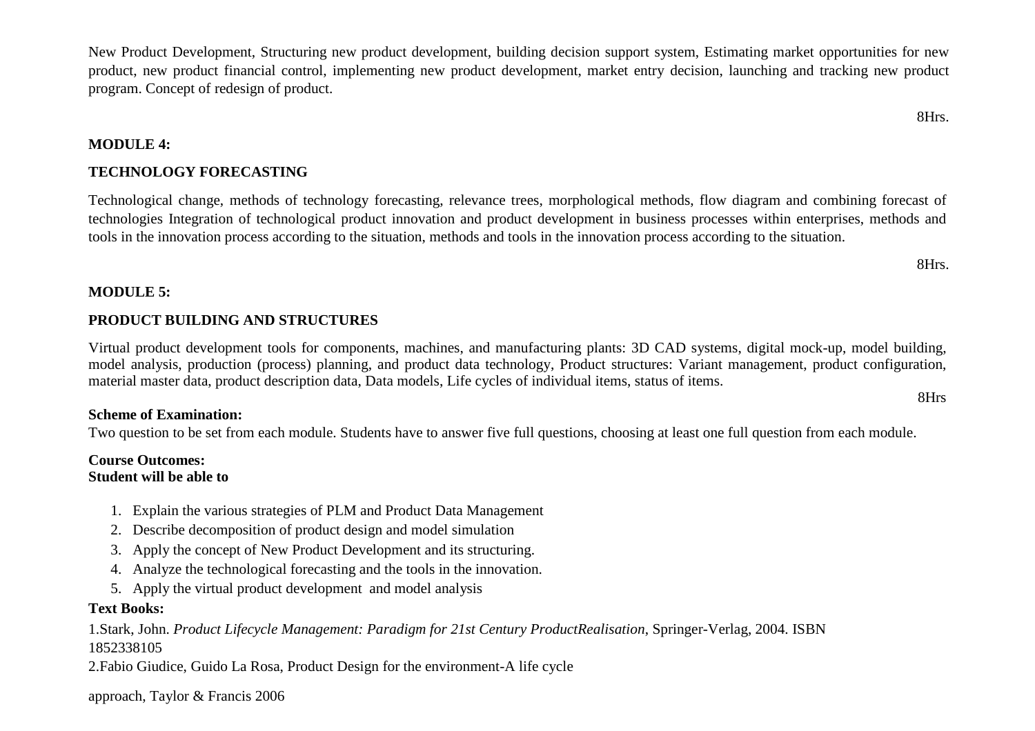8Hrs.

8Hrs.

8Hrs

New Product Development, Structuring new product development, building decision support system, Estimating market opportunities for new product, new product financial control, implementing new product development, market entry decision, launching and tracking new product program. Concept of redesign of product.

**MODULE 4:** 

## **TECHNOLOGY FORECASTING**

Technological change, methods of technology forecasting, relevance trees, morphological methods, flow diagram and combining forecast of technologies Integration of technological product innovation and product development in business processes within enterprises, methods and tools in the innovation process according to the situation, methods and tools in the innovation process according to the situation.

## **MODULE 5:**

## **PRODUCT BUILDING AND STRUCTURES**

Virtual product development tools for components, machines, and manufacturing plants: 3D CAD systems, digital mock-up, model building, model analysis, production (process) planning, and product data technology, Product structures: Variant management, product configuration, material master data, product description data, Data models, Life cycles of individual items, status of items.

## **Scheme of Examination:**

Two question to be set from each module. Students have to answer five full questions, choosing at least one full question from each module.

## **Course Outcomes: Student will be able to**

- 1. Explain the various strategies of PLM and Product Data Management
- 2. Describe decomposition of product design and model simulation
- 3. Apply the concept of New Product Development and its structuring.
- 4. Analyze the technological forecasting and the tools in the innovation.
- 5. Apply the virtual product development and model analysis

## **Text Books:**

1.Stark, John. *Product Lifecycle Management: Paradigm for 21st Century ProductRealisation*, Springer-Verlag, 2004. ISBN 1852338105

2.Fabio Giudice, Guido La Rosa, Product Design for the environment-A life cycle

approach, Taylor & Francis 2006